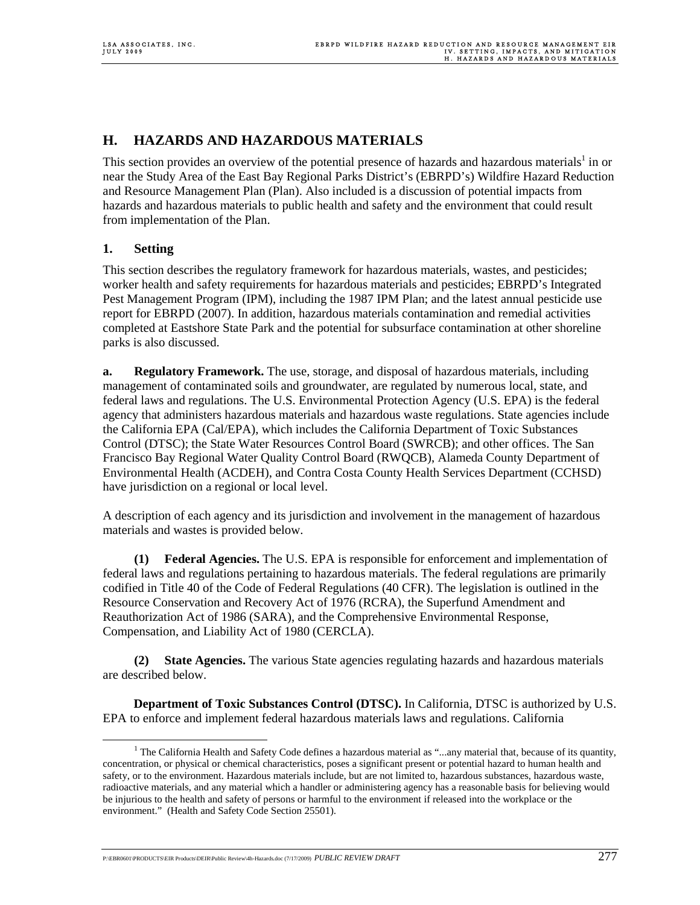# **H. HAZARDS AND HAZARDOUS MATERIALS**

This section provides an overview of the potential presence of hazards and hazardous materials<sup>1</sup> in or near the Study Area of the East Bay Regional Parks District's (EBRPD's) Wildfire Hazard Reduction and Resource Management Plan (Plan). Also included is a discussion of potential impacts from hazards and hazardous materials to public health and safety and the environment that could result from implementation of the Plan.

## **1. Setting**

This section describes the regulatory framework for hazardous materials, wastes, and pesticides; worker health and safety requirements for hazardous materials and pesticides; EBRPD's Integrated Pest Management Program (IPM), including the 1987 IPM Plan; and the latest annual pesticide use report for EBRPD (2007). In addition, hazardous materials contamination and remedial activities completed at Eastshore State Park and the potential for subsurface contamination at other shoreline parks is also discussed.

**a. Regulatory Framework.** The use, storage, and disposal of hazardous materials, including management of contaminated soils and groundwater, are regulated by numerous local, state, and federal laws and regulations. The U.S. Environmental Protection Agency (U.S. EPA) is the federal agency that administers hazardous materials and hazardous waste regulations. State agencies include the California EPA (Cal/EPA), which includes the California Department of Toxic Substances Control (DTSC); the State Water Resources Control Board (SWRCB); and other offices. The San Francisco Bay Regional Water Quality Control Board (RWQCB), Alameda County Department of Environmental Health (ACDEH), and Contra Costa County Health Services Department (CCHSD) have jurisdiction on a regional or local level.

A description of each agency and its jurisdiction and involvement in the management of hazardous materials and wastes is provided below.

**(1) Federal Agencies.** The U.S. EPA is responsible for enforcement and implementation of federal laws and regulations pertaining to hazardous materials. The federal regulations are primarily codified in Title 40 of the Code of Federal Regulations (40 CFR). The legislation is outlined in the Resource Conservation and Recovery Act of 1976 (RCRA), the Superfund Amendment and Reauthorization Act of 1986 (SARA), and the Comprehensive Environmental Response, Compensation, and Liability Act of 1980 (CERCLA).

**(2) State Agencies.** The various State agencies regulating hazards and hazardous materials are described below.

**Department of Toxic Substances Control (DTSC).** In California, DTSC is authorized by U.S. EPA to enforce and implement federal hazardous materials laws and regulations. California

P:\EBR0601\PRODUCTS\EIR Products\DEIR\Public Review\4h-Hazards.doc (7/17/2009) *PUBLIC REVIEW DRAFT* 277

 $\frac{1}{1}$ <sup>1</sup> The California Health and Safety Code defines a hazardous material as "...any material that, because of its quantity, concentration, or physical or chemical characteristics, poses a significant present or potential hazard to human health and safety, or to the environment. Hazardous materials include, but are not limited to, hazardous substances, hazardous waste, radioactive materials, and any material which a handler or administering agency has a reasonable basis for believing would be injurious to the health and safety of persons or harmful to the environment if released into the workplace or the environment." (Health and Safety Code Section 25501).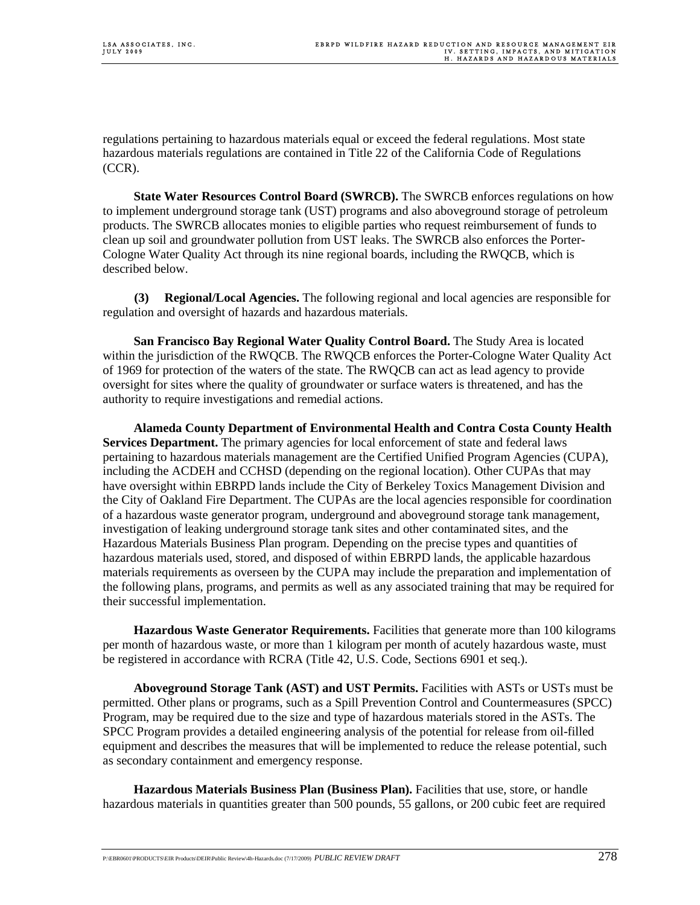regulations pertaining to hazardous materials equal or exceed the federal regulations. Most state hazardous materials regulations are contained in Title 22 of the California Code of Regulations (CCR).

**State Water Resources Control Board (SWRCB).** The SWRCB enforces regulations on how to implement underground storage tank (UST) programs and also aboveground storage of petroleum products. The SWRCB allocates monies to eligible parties who request reimbursement of funds to clean up soil and groundwater pollution from UST leaks. The SWRCB also enforces the Porter-Cologne Water Quality Act through its nine regional boards, including the RWQCB, which is described below.

**(3) Regional/Local Agencies.** The following regional and local agencies are responsible for regulation and oversight of hazards and hazardous materials.

**San Francisco Bay Regional Water Quality Control Board.** The Study Area is located within the jurisdiction of the RWQCB. The RWQCB enforces the Porter-Cologne Water Quality Act of 1969 for protection of the waters of the state. The RWQCB can act as lead agency to provide oversight for sites where the quality of groundwater or surface waters is threatened, and has the authority to require investigations and remedial actions.

**Alameda County Department of Environmental Health and Contra Costa County Health Services Department.** The primary agencies for local enforcement of state and federal laws pertaining to hazardous materials management are the Certified Unified Program Agencies (CUPA), including the ACDEH and CCHSD (depending on the regional location). Other CUPAs that may have oversight within EBRPD lands include the City of Berkeley Toxics Management Division and the City of Oakland Fire Department. The CUPAs are the local agencies responsible for coordination of a hazardous waste generator program, underground and aboveground storage tank management, investigation of leaking underground storage tank sites and other contaminated sites, and the Hazardous Materials Business Plan program. Depending on the precise types and quantities of hazardous materials used, stored, and disposed of within EBRPD lands, the applicable hazardous materials requirements as overseen by the CUPA may include the preparation and implementation of the following plans, programs, and permits as well as any associated training that may be required for their successful implementation.

**Hazardous Waste Generator Requirements.** Facilities that generate more than 100 kilograms per month of hazardous waste, or more than 1 kilogram per month of acutely hazardous waste, must be registered in accordance with RCRA (Title 42, U.S. Code, Sections 6901 et seq.).

**Aboveground Storage Tank (AST) and UST Permits.** Facilities with ASTs or USTs must be permitted. Other plans or programs, such as a Spill Prevention Control and Countermeasures (SPCC) Program, may be required due to the size and type of hazardous materials stored in the ASTs. The SPCC Program provides a detailed engineering analysis of the potential for release from oil-filled equipment and describes the measures that will be implemented to reduce the release potential, such as secondary containment and emergency response.

**Hazardous Materials Business Plan (Business Plan).** Facilities that use, store, or handle hazardous materials in quantities greater than 500 pounds, 55 gallons, or 200 cubic feet are required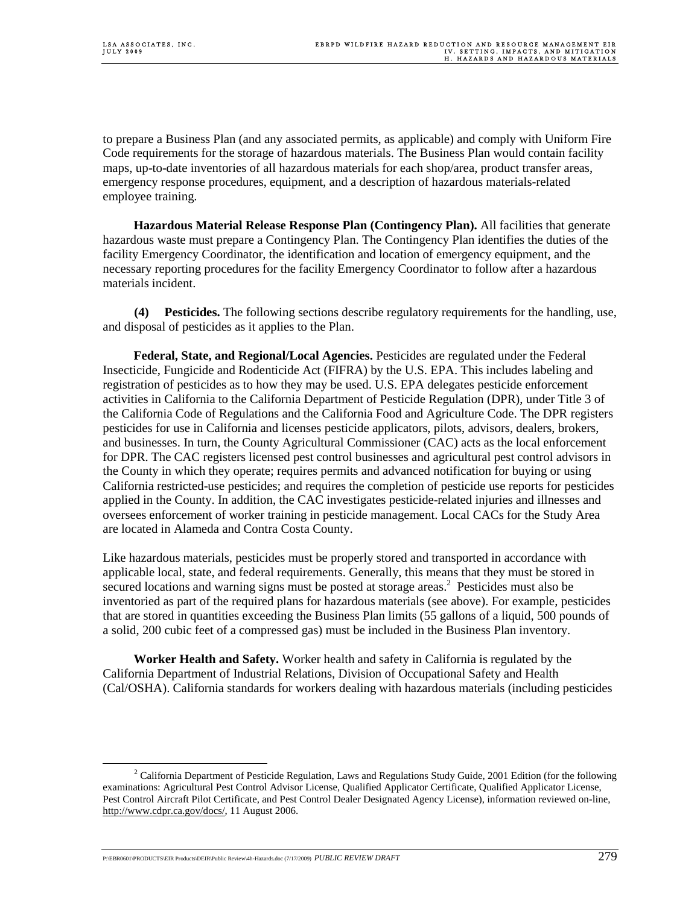to prepare a Business Plan (and any associated permits, as applicable) and comply with Uniform Fire Code requirements for the storage of hazardous materials. The Business Plan would contain facility maps, up-to-date inventories of all hazardous materials for each shop/area, product transfer areas, emergency response procedures, equipment, and a description of hazardous materials-related employee training.

**Hazardous Material Release Response Plan (Contingency Plan).** All facilities that generate hazardous waste must prepare a Contingency Plan. The Contingency Plan identifies the duties of the facility Emergency Coordinator, the identification and location of emergency equipment, and the necessary reporting procedures for the facility Emergency Coordinator to follow after a hazardous materials incident.

**(4) Pesticides.** The following sections describe regulatory requirements for the handling, use, and disposal of pesticides as it applies to the Plan.

**Federal, State, and Regional/Local Agencies.** Pesticides are regulated under the Federal Insecticide, Fungicide and Rodenticide Act (FIFRA) by the U.S. EPA. This includes labeling and registration of pesticides as to how they may be used. U.S. EPA delegates pesticide enforcement activities in California to the California Department of Pesticide Regulation (DPR), under Title 3 of the California Code of Regulations and the California Food and Agriculture Code. The DPR registers pesticides for use in California and licenses pesticide applicators, pilots, advisors, dealers, brokers, and businesses. In turn, the County Agricultural Commissioner (CAC) acts as the local enforcement for DPR. The CAC registers licensed pest control businesses and agricultural pest control advisors in the County in which they operate; requires permits and advanced notification for buying or using California restricted-use pesticides; and requires the completion of pesticide use reports for pesticides applied in the County. In addition, the CAC investigates pesticide-related injuries and illnesses and oversees enforcement of worker training in pesticide management. Local CACs for the Study Area are located in Alameda and Contra Costa County.

Like hazardous materials, pesticides must be properly stored and transported in accordance with applicable local, state, and federal requirements. Generally, this means that they must be stored in secured locations and warning signs must be posted at storage areas.<sup>2</sup> Pesticides must also be inventoried as part of the required plans for hazardous materials (see above). For example, pesticides that are stored in quantities exceeding the Business Plan limits (55 gallons of a liquid, 500 pounds of a solid, 200 cubic feet of a compressed gas) must be included in the Business Plan inventory.

**Worker Health and Safety.** Worker health and safety in California is regulated by the California Department of Industrial Relations, Division of Occupational Safety and Health (Cal/OSHA). California standards for workers dealing with hazardous materials (including pesticides

P:\EBR0601\PRODUCTS\EIR Products\DEIR\Public Review\4h-Hazards.doc (7/17/2009) *PUBLIC REVIEW DRAFT* 279

 $\frac{1}{2}$ <sup>2</sup> California Department of Pesticide Regulation, Laws and Regulations Study Guide, 2001 Edition (for the following examinations: Agricultural Pest Control Advisor License, Qualified Applicator Certificate, Qualified Applicator License, Pest Control Aircraft Pilot Certificate, and Pest Control Dealer Designated Agency License), information reviewed on-line, http://www.cdpr.ca.gov/docs/, 11 August 2006.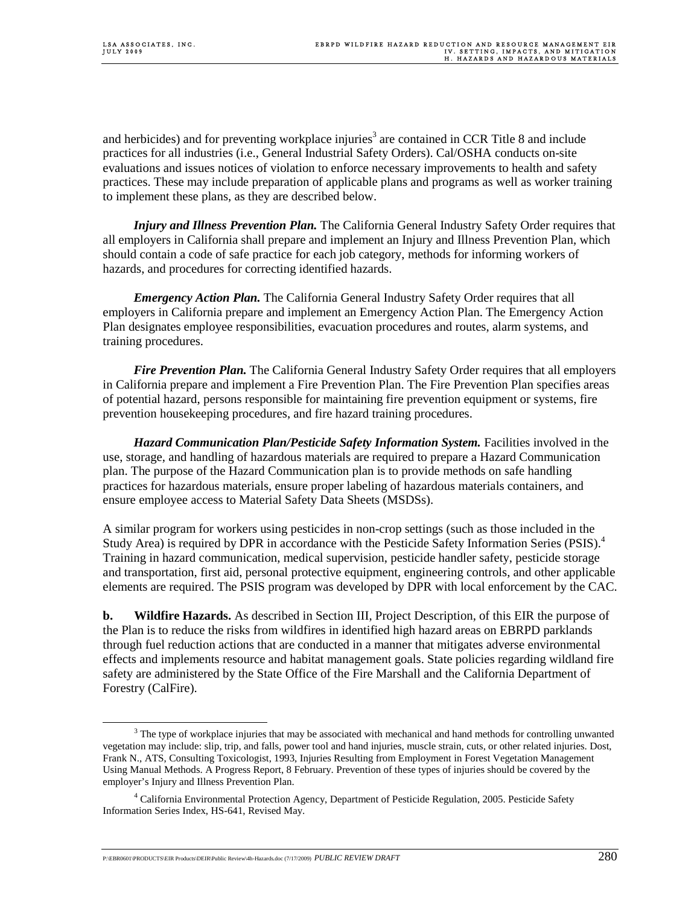and herbicides) and for preventing workplace injuries<sup>3</sup> are contained in CCR Title 8 and include practices for all industries (i.e., General Industrial Safety Orders). Cal/OSHA conducts on-site evaluations and issues notices of violation to enforce necessary improvements to health and safety practices. These may include preparation of applicable plans and programs as well as worker training to implement these plans, as they are described below.

*Injury and Illness Prevention Plan.* The California General Industry Safety Order requires that all employers in California shall prepare and implement an Injury and Illness Prevention Plan, which should contain a code of safe practice for each job category, methods for informing workers of hazards, and procedures for correcting identified hazards.

*Emergency Action Plan.* The California General Industry Safety Order requires that all employers in California prepare and implement an Emergency Action Plan. The Emergency Action Plan designates employee responsibilities, evacuation procedures and routes, alarm systems, and training procedures.

*Fire Prevention Plan.* The California General Industry Safety Order requires that all employers in California prepare and implement a Fire Prevention Plan. The Fire Prevention Plan specifies areas of potential hazard, persons responsible for maintaining fire prevention equipment or systems, fire prevention housekeeping procedures, and fire hazard training procedures.

*Hazard Communication Plan/Pesticide Safety Information System.* Facilities involved in the use, storage, and handling of hazardous materials are required to prepare a Hazard Communication plan. The purpose of the Hazard Communication plan is to provide methods on safe handling practices for hazardous materials, ensure proper labeling of hazardous materials containers, and ensure employee access to Material Safety Data Sheets (MSDSs).

A similar program for workers using pesticides in non-crop settings (such as those included in the Study Area) is required by DPR in accordance with the Pesticide Safety Information Series (PSIS).<sup>4</sup> Training in hazard communication, medical supervision, pesticide handler safety, pesticide storage and transportation, first aid, personal protective equipment, engineering controls, and other applicable elements are required. The PSIS program was developed by DPR with local enforcement by the CAC.

**b. Wildfire Hazards.** As described in Section III, Project Description, of this EIR the purpose of the Plan is to reduce the risks from wildfires in identified high hazard areas on EBRPD parklands through fuel reduction actions that are conducted in a manner that mitigates adverse environmental effects and implements resource and habitat management goals. State policies regarding wildland fire safety are administered by the State Office of the Fire Marshall and the California Department of Forestry (CalFire).

 $\frac{1}{3}$  $3$  The type of workplace injuries that may be associated with mechanical and hand methods for controlling unwanted vegetation may include: slip, trip, and falls, power tool and hand injuries, muscle strain, cuts, or other related injuries. Dost, Frank N., ATS, Consulting Toxicologist, 1993, Injuries Resulting from Employment in Forest Vegetation Management Using Manual Methods. A Progress Report, 8 February. Prevention of these types of injuries should be covered by the employer's Injury and Illness Prevention Plan.

<sup>4</sup> California Environmental Protection Agency, Department of Pesticide Regulation, 2005. Pesticide Safety Information Series Index, HS-641, Revised May.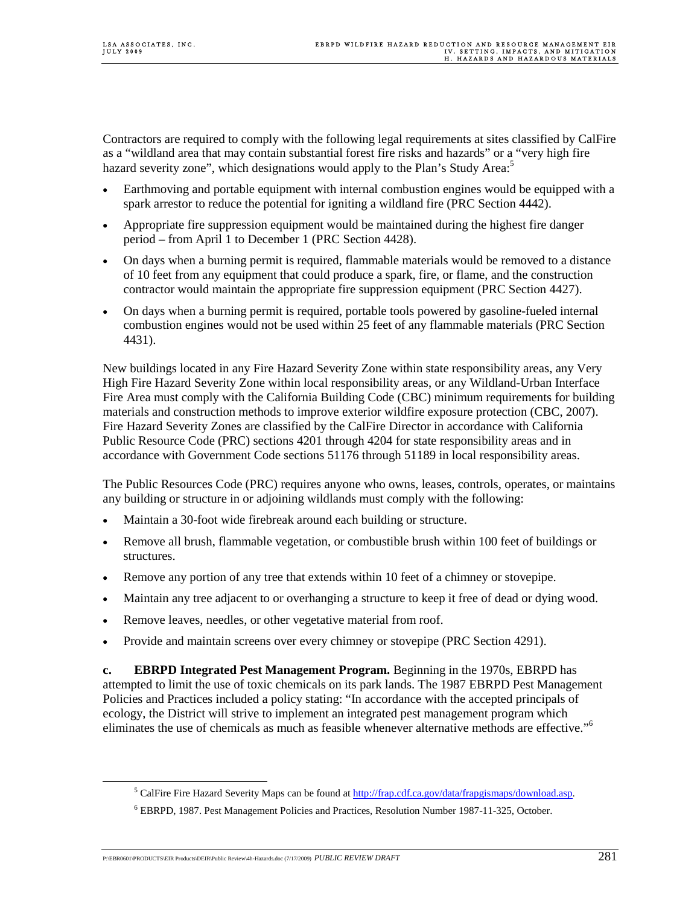Contractors are required to comply with the following legal requirements at sites classified by CalFire as a "wildland area that may contain substantial forest fire risks and hazards" or a "very high fire hazard severity zone", which designations would apply to the Plan's Study Area:<sup>5</sup>

- Earthmoving and portable equipment with internal combustion engines would be equipped with a spark arrestor to reduce the potential for igniting a wildland fire (PRC Section 4442).
- Appropriate fire suppression equipment would be maintained during the highest fire danger period – from April 1 to December 1 (PRC Section 4428).
- On days when a burning permit is required, flammable materials would be removed to a distance of 10 feet from any equipment that could produce a spark, fire, or flame, and the construction contractor would maintain the appropriate fire suppression equipment (PRC Section 4427).
- On days when a burning permit is required, portable tools powered by gasoline-fueled internal combustion engines would not be used within 25 feet of any flammable materials (PRC Section 4431).

New buildings located in any Fire Hazard Severity Zone within state responsibility areas, any Very High Fire Hazard Severity Zone within local responsibility areas, or any Wildland-Urban Interface Fire Area must comply with the California Building Code (CBC) minimum requirements for building materials and construction methods to improve exterior wildfire exposure protection (CBC, 2007). Fire Hazard Severity Zones are classified by the CalFire Director in accordance with California Public Resource Code (PRC) sections 4201 through 4204 for state responsibility areas and in accordance with Government Code sections 51176 through 51189 in local responsibility areas.

The Public Resources Code (PRC) requires anyone who owns, leases, controls, operates, or maintains any building or structure in or adjoining wildlands must comply with the following:

- Maintain a 30-foot wide firebreak around each building or structure.
- Remove all brush, flammable vegetation, or combustible brush within 100 feet of buildings or structures.
- Remove any portion of any tree that extends within 10 feet of a chimney or stovepipe.
- Maintain any tree adjacent to or overhanging a structure to keep it free of dead or dying wood.
- Remove leaves, needles, or other vegetative material from roof.
- Provide and maintain screens over every chimney or stovepipe (PRC Section 4291).

**c. EBRPD Integrated Pest Management Program.** Beginning in the 1970s, EBRPD has attempted to limit the use of toxic chemicals on its park lands. The 1987 EBRPD Pest Management Policies and Practices included a policy stating: "In accordance with the accepted principals of ecology, the District will strive to implement an integrated pest management program which eliminates the use of chemicals as much as feasible whenever alternative methods are effective."6

 $rac{1}{5}$ <sup>5</sup> CalFire Fire Hazard Severity Maps can be found at  $\frac{http://frap.cdf.ca.gov/data/frapsimaps/download$ *asp.* 

<sup>6</sup> EBRPD, 1987. Pest Management Policies and Practices, Resolution Number 1987-11-325, October.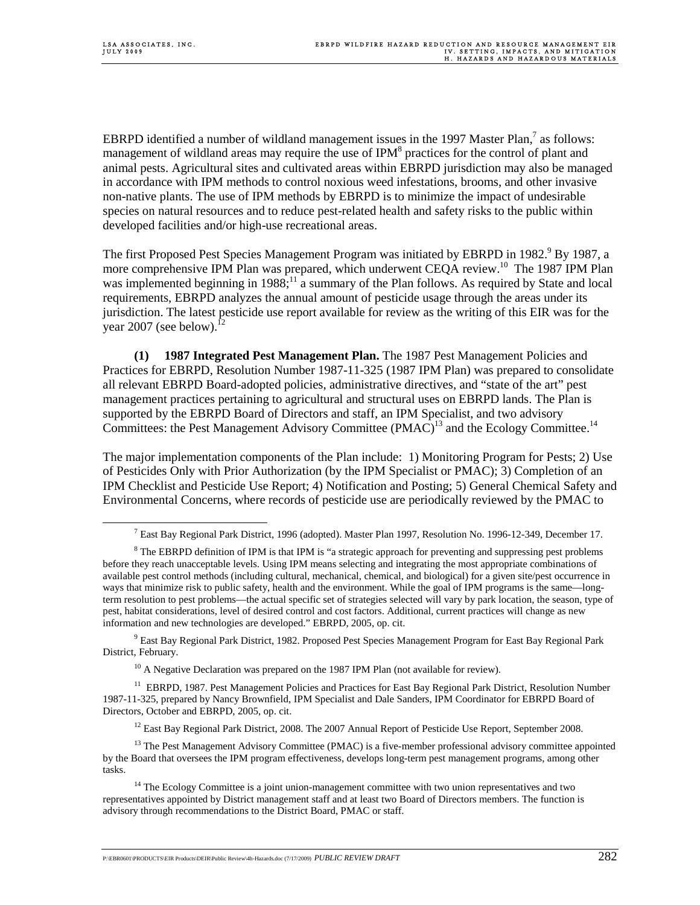EBRPD identified a number of wildland management issues in the 1997 Master Plan, $^7$  as follows: management of wildland areas may require the use of IPM<sup>8</sup> practices for the control of plant and animal pests. Agricultural sites and cultivated areas within EBRPD jurisdiction may also be managed in accordance with IPM methods to control noxious weed infestations, brooms, and other invasive non-native plants. The use of IPM methods by EBRPD is to minimize the impact of undesirable species on natural resources and to reduce pest-related health and safety risks to the public within developed facilities and/or high-use recreational areas.

The first Proposed Pest Species Management Program was initiated by EBRPD in 1982.<sup>9</sup> By 1987, a more comprehensive IPM Plan was prepared, which underwent CEQA review.<sup>10</sup> The 1987 IPM Plan was implemented beginning in  $1988$ ;<sup>11</sup> a summary of the Plan follows. As required by State and local requirements, EBRPD analyzes the annual amount of pesticide usage through the areas under its jurisdiction. The latest pesticide use report available for review as the writing of this EIR was for the year 2007 (see below).<sup>1</sup>

**(1) 1987 Integrated Pest Management Plan.** The 1987 Pest Management Policies and Practices for EBRPD, Resolution Number 1987-11-325 (1987 IPM Plan) was prepared to consolidate all relevant EBRPD Board-adopted policies, administrative directives, and "state of the art" pest management practices pertaining to agricultural and structural uses on EBRPD lands. The Plan is supported by the EBRPD Board of Directors and staff, an IPM Specialist, and two advisory Committees: the Pest Management Advisory Committee (PMAC)<sup>13</sup> and the Ecology Committee.<sup>14</sup>

The major implementation components of the Plan include: 1) Monitoring Program for Pests; 2) Use of Pesticides Only with Prior Authorization (by the IPM Specialist or PMAC); 3) Completion of an IPM Checklist and Pesticide Use Report; 4) Notification and Posting; 5) General Chemical Safety and Environmental Concerns, where records of pesticide use are periodically reviewed by the PMAC to

<sup>9</sup> East Bay Regional Park District, 1982. Proposed Pest Species Management Program for East Bay Regional Park District, February.

 $10$  A Negative Declaration was prepared on the 1987 IPM Plan (not available for review).

<sup>11</sup> EBRPD, 1987. Pest Management Policies and Practices for East Bay Regional Park District, Resolution Number 1987-11-325, prepared by Nancy Brownfield, IPM Specialist and Dale Sanders, IPM Coordinator for EBRPD Board of Directors, October and EBRPD, 2005, op. cit.

 $12$  East Bay Regional Park District, 2008. The 2007 Annual Report of Pesticide Use Report, September 2008.

<sup>13</sup> The Pest Management Advisory Committee (PMAC) is a five-member professional advisory committee appointed by the Board that oversees the IPM program effectiveness, develops long-term pest management programs, among other tasks.

<sup>14</sup> The Ecology Committee is a joint union-management committee with two union representatives and two representatives appointed by District management staff and at least two Board of Directors members. The function is advisory through recommendations to the District Board, PMAC or staff.

 $\overline{7}$ <sup>7</sup> East Bay Regional Park District, 1996 (adopted). Master Plan 1997, Resolution No. 1996-12-349, December 17.

<sup>&</sup>lt;sup>8</sup> The EBRPD definition of IPM is that IPM is "a strategic approach for preventing and suppressing pest problems before they reach unacceptable levels. Using IPM means selecting and integrating the most appropriate combinations of available pest control methods (including cultural, mechanical, chemical, and biological) for a given site/pest occurrence in ways that minimize risk to public safety, health and the environment. While the goal of IPM programs is the same—longterm resolution to pest problems—the actual specific set of strategies selected will vary by park location, the season, type of pest, habitat considerations, level of desired control and cost factors. Additional, current practices will change as new information and new technologies are developed." EBRPD, 2005, op. cit.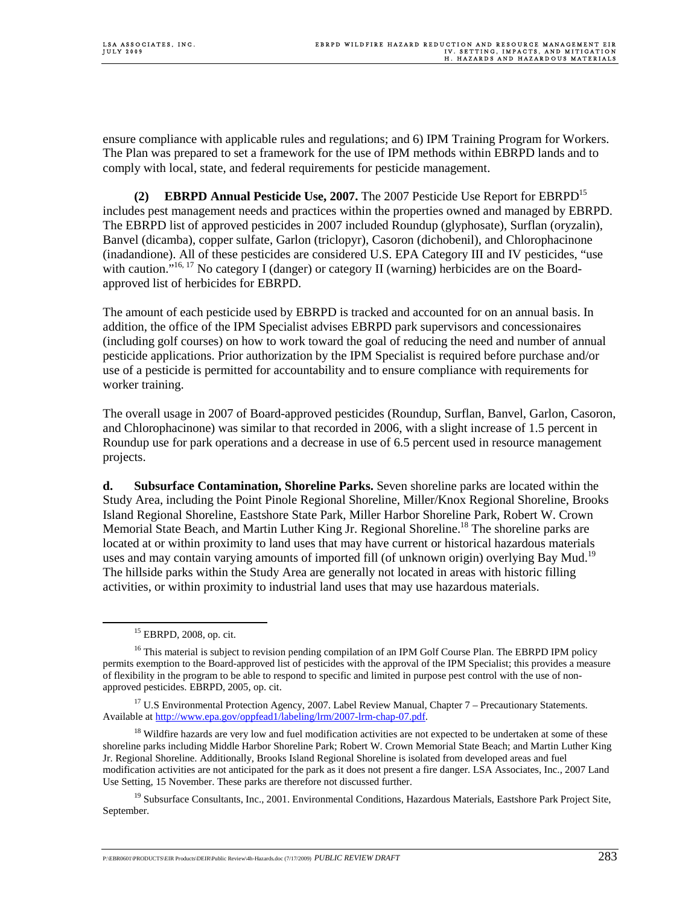ensure compliance with applicable rules and regulations; and 6) IPM Training Program for Workers. The Plan was prepared to set a framework for the use of IPM methods within EBRPD lands and to comply with local, state, and federal requirements for pesticide management.

**(2) EBRPD Annual Pesticide Use, 2007.** The 2007 Pesticide Use Report for EBRPD15 includes pest management needs and practices within the properties owned and managed by EBRPD. The EBRPD list of approved pesticides in 2007 included Roundup (glyphosate), Surflan (oryzalin), Banvel (dicamba), copper sulfate, Garlon (triclopyr), Casoron (dichobenil), and Chlorophacinone (inadandione). All of these pesticides are considered U.S. EPA Category III and IV pesticides, "use with caution."<sup>16, 17</sup> No category I (danger) or category II (warning) herbicides are on the Boardapproved list of herbicides for EBRPD.

The amount of each pesticide used by EBRPD is tracked and accounted for on an annual basis. In addition, the office of the IPM Specialist advises EBRPD park supervisors and concessionaires (including golf courses) on how to work toward the goal of reducing the need and number of annual pesticide applications. Prior authorization by the IPM Specialist is required before purchase and/or use of a pesticide is permitted for accountability and to ensure compliance with requirements for worker training.

The overall usage in 2007 of Board-approved pesticides (Roundup, Surflan, Banvel, Garlon, Casoron, and Chlorophacinone) was similar to that recorded in 2006, with a slight increase of 1.5 percent in Roundup use for park operations and a decrease in use of 6.5 percent used in resource management projects.

**d. Subsurface Contamination, Shoreline Parks.** Seven shoreline parks are located within the Study Area, including the Point Pinole Regional Shoreline, Miller/Knox Regional Shoreline, Brooks Island Regional Shoreline, Eastshore State Park, Miller Harbor Shoreline Park, Robert W. Crown Memorial State Beach, and Martin Luther King Jr. Regional Shoreline.<sup>18</sup> The shoreline parks are located at or within proximity to land uses that may have current or historical hazardous materials uses and may contain varying amounts of imported fill (of unknown origin) overlying Bay Mud.<sup>19</sup> The hillside parks within the Study Area are generally not located in areas with historic filling activities, or within proximity to industrial land uses that may use hazardous materials.

<sup>19</sup> Subsurface Consultants, Inc., 2001. Environmental Conditions, Hazardous Materials, Eastshore Park Project Site, September.

 <sup>15</sup> EBRPD, 2008, op. cit.

<sup>&</sup>lt;sup>16</sup> This material is subject to revision pending compilation of an IPM Golf Course Plan. The EBRPD IPM policy permits exemption to the Board-approved list of pesticides with the approval of the IPM Specialist; this provides a measure of flexibility in the program to be able to respond to specific and limited in purpose pest control with the use of nonapproved pesticides. EBRPD, 2005, op. cit.

<sup>&</sup>lt;sup>17</sup> U.S Environmental Protection Agency, 2007. Label Review Manual, Chapter 7 – Precautionary Statements. Available at http://www.epa.gov/oppfead1/labeling/lrm/2007-lrm-chap-07.pdf.

<sup>&</sup>lt;sup>18</sup> Wildfire hazards are very low and fuel modification activities are not expected to be undertaken at some of these shoreline parks including Middle Harbor Shoreline Park; Robert W. Crown Memorial State Beach; and Martin Luther King Jr. Regional Shoreline. Additionally, Brooks Island Regional Shoreline is isolated from developed areas and fuel modification activities are not anticipated for the park as it does not present a fire danger. LSA Associates, Inc., 2007 Land Use Setting, 15 November. These parks are therefore not discussed further.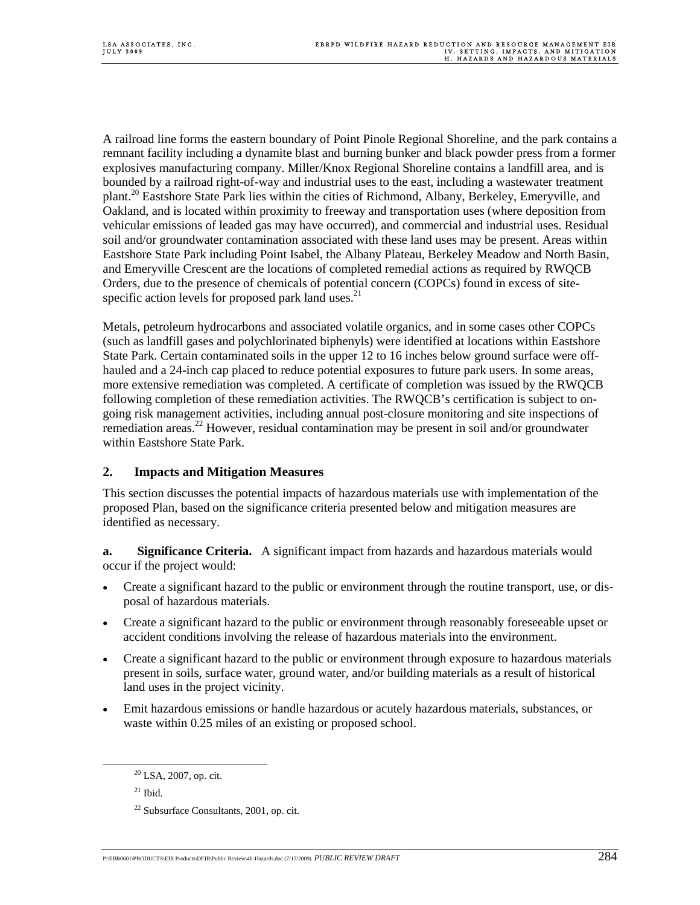A railroad line forms the eastern boundary of Point Pinole Regional Shoreline, and the park contains a remnant facility including a dynamite blast and burning bunker and black powder press from a former explosives manufacturing company. Miller/Knox Regional Shoreline contains a landfill area, and is bounded by a railroad right-of-way and industrial uses to the east, including a wastewater treatment plant.<sup>20</sup> Eastshore State Park lies within the cities of Richmond, Albany, Berkeley, Emeryville, and Oakland, and is located within proximity to freeway and transportation uses (where deposition from vehicular emissions of leaded gas may have occurred), and commercial and industrial uses. Residual soil and/or groundwater contamination associated with these land uses may be present. Areas within Eastshore State Park including Point Isabel, the Albany Plateau, Berkeley Meadow and North Basin, and Emeryville Crescent are the locations of completed remedial actions as required by RWQCB Orders, due to the presence of chemicals of potential concern (COPCs) found in excess of sitespecific action levels for proposed park land uses. $^{21}$ 

Metals, petroleum hydrocarbons and associated volatile organics, and in some cases other COPCs (such as landfill gases and polychlorinated biphenyls) were identified at locations within Eastshore State Park. Certain contaminated soils in the upper 12 to 16 inches below ground surface were offhauled and a 24-inch cap placed to reduce potential exposures to future park users. In some areas, more extensive remediation was completed. A certificate of completion was issued by the RWQCB following completion of these remediation activities. The RWQCB's certification is subject to ongoing risk management activities, including annual post-closure monitoring and site inspections of remediation areas.<sup>22</sup> However, residual contamination may be present in soil and/or groundwater within Eastshore State Park.

## **2. Impacts and Mitigation Measures**

This section discusses the potential impacts of hazardous materials use with implementation of the proposed Plan, based on the significance criteria presented below and mitigation measures are identified as necessary.

**a. Significance Criteria.** A significant impact from hazards and hazardous materials would occur if the project would:

- Create a significant hazard to the public or environment through the routine transport, use, or disposal of hazardous materials.
- Create a significant hazard to the public or environment through reasonably foreseeable upset or accident conditions involving the release of hazardous materials into the environment.
- Create a significant hazard to the public or environment through exposure to hazardous materials present in soils, surface water, ground water, and/or building materials as a result of historical land uses in the project vicinity.
- Emit hazardous emissions or handle hazardous or acutely hazardous materials, substances, or waste within 0.25 miles of an existing or proposed school.

 $21$  Ibid.

<sup>&</sup>lt;sup>20</sup> LSA, 2007, op. cit.

<sup>22</sup> Subsurface Consultants, 2001, op. cit.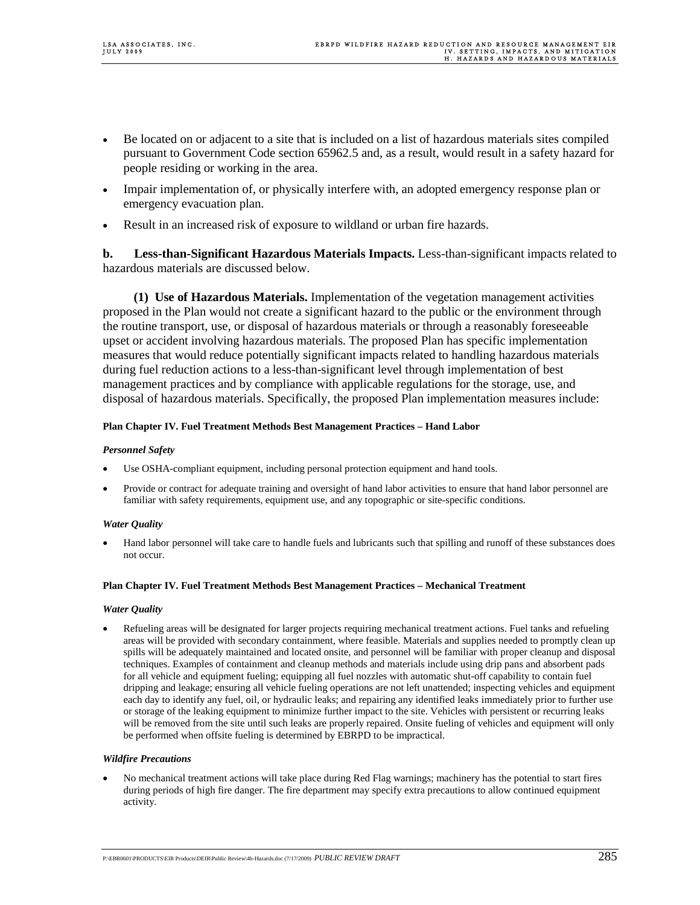- Be located on or adjacent to a site that is included on a list of hazardous materials sites compiled pursuant to Government Code section 65962.5 and, as a result, would result in a safety hazard for people residing or working in the area.
- Impair implementation of, or physically interfere with, an adopted emergency response plan or emergency evacuation plan.
- Result in an increased risk of exposure to wildland or urban fire hazards.

**b. Less-than-Significant Hazardous Materials Impacts.** Less-than-significant impacts related to hazardous materials are discussed below.

**(1) Use of Hazardous Materials.** Implementation of the vegetation management activities proposed in the Plan would not create a significant hazard to the public or the environment through the routine transport, use, or disposal of hazardous materials or through a reasonably foreseeable upset or accident involving hazardous materials. The proposed Plan has specific implementation measures that would reduce potentially significant impacts related to handling hazardous materials during fuel reduction actions to a less-than-significant level through implementation of best management practices and by compliance with applicable regulations for the storage, use, and disposal of hazardous materials. Specifically, the proposed Plan implementation measures include:

## **Plan Chapter IV. Fuel Treatment Methods Best Management Practices – Hand Labor**

## *Personnel Safety*

- Use OSHA-compliant equipment, including personal protection equipment and hand tools.
- Provide or contract for adequate training and oversight of hand labor activities to ensure that hand labor personnel are familiar with safety requirements, equipment use, and any topographic or site-specific conditions.

## *Water Quality*

• Hand labor personnel will take care to handle fuels and lubricants such that spilling and runoff of these substances does not occur.

### **Plan Chapter IV. Fuel Treatment Methods Best Management Practices – Mechanical Treatment**

### *Water Quality*

• Refueling areas will be designated for larger projects requiring mechanical treatment actions. Fuel tanks and refueling areas will be provided with secondary containment, where feasible. Materials and supplies needed to promptly clean up spills will be adequately maintained and located onsite, and personnel will be familiar with proper cleanup and disposal techniques. Examples of containment and cleanup methods and materials include using drip pans and absorbent pads for all vehicle and equipment fueling; equipping all fuel nozzles with automatic shut-off capability to contain fuel dripping and leakage; ensuring all vehicle fueling operations are not left unattended; inspecting vehicles and equipment each day to identify any fuel, oil, or hydraulic leaks; and repairing any identified leaks immediately prior to further use or storage of the leaking equipment to minimize further impact to the site. Vehicles with persistent or recurring leaks will be removed from the site until such leaks are properly repaired. Onsite fueling of vehicles and equipment will only be performed when offsite fueling is determined by EBRPD to be impractical.

### *Wildfire Precautions*

• No mechanical treatment actions will take place during Red Flag warnings; machinery has the potential to start fires during periods of high fire danger. The fire department may specify extra precautions to allow continued equipment activity.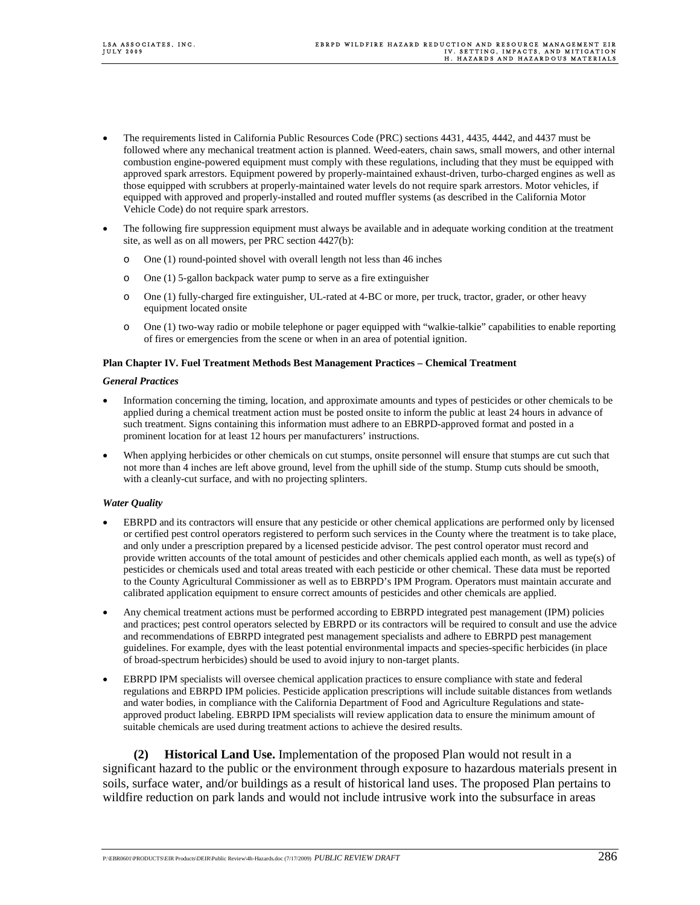- The requirements listed in California Public Resources Code (PRC) sections 4431, 4435, 4442, and 4437 must be followed where any mechanical treatment action is planned. Weed-eaters, chain saws, small mowers, and other internal combustion engine-powered equipment must comply with these regulations, including that they must be equipped with approved spark arrestors. Equipment powered by properly-maintained exhaust-driven, turbo-charged engines as well as those equipped with scrubbers at properly-maintained water levels do not require spark arrestors. Motor vehicles, if equipped with approved and properly-installed and routed muffler systems (as described in the California Motor Vehicle Code) do not require spark arrestors.
- The following fire suppression equipment must always be available and in adequate working condition at the treatment site, as well as on all mowers, per PRC section 4427(b):
	- o One (1) round-pointed shovel with overall length not less than 46 inches
	- o One (1) 5-gallon backpack water pump to serve as a fire extinguisher
	- o One (1) fully-charged fire extinguisher, UL-rated at 4-BC or more, per truck, tractor, grader, or other heavy equipment located onsite
	- o One (1) two-way radio or mobile telephone or pager equipped with "walkie-talkie" capabilities to enable reporting of fires or emergencies from the scene or when in an area of potential ignition.

#### **Plan Chapter IV. Fuel Treatment Methods Best Management Practices – Chemical Treatment**

#### *General Practices*

- Information concerning the timing, location, and approximate amounts and types of pesticides or other chemicals to be applied during a chemical treatment action must be posted onsite to inform the public at least 24 hours in advance of such treatment. Signs containing this information must adhere to an EBRPD-approved format and posted in a prominent location for at least 12 hours per manufacturers' instructions.
- When applying herbicides or other chemicals on cut stumps, onsite personnel will ensure that stumps are cut such that not more than 4 inches are left above ground, level from the uphill side of the stump. Stump cuts should be smooth, with a cleanly-cut surface, and with no projecting splinters.

### *Water Quality*

- EBRPD and its contractors will ensure that any pesticide or other chemical applications are performed only by licensed or certified pest control operators registered to perform such services in the County where the treatment is to take place, and only under a prescription prepared by a licensed pesticide advisor. The pest control operator must record and provide written accounts of the total amount of pesticides and other chemicals applied each month, as well as type(s) of pesticides or chemicals used and total areas treated with each pesticide or other chemical. These data must be reported to the County Agricultural Commissioner as well as to EBRPD's IPM Program. Operators must maintain accurate and calibrated application equipment to ensure correct amounts of pesticides and other chemicals are applied.
- Any chemical treatment actions must be performed according to EBRPD integrated pest management (IPM) policies and practices; pest control operators selected by EBRPD or its contractors will be required to consult and use the advice and recommendations of EBRPD integrated pest management specialists and adhere to EBRPD pest management guidelines. For example, dyes with the least potential environmental impacts and species-specific herbicides (in place of broad-spectrum herbicides) should be used to avoid injury to non-target plants.
- EBRPD IPM specialists will oversee chemical application practices to ensure compliance with state and federal regulations and EBRPD IPM policies. Pesticide application prescriptions will include suitable distances from wetlands and water bodies, in compliance with the California Department of Food and Agriculture Regulations and stateapproved product labeling. EBRPD IPM specialists will review application data to ensure the minimum amount of suitable chemicals are used during treatment actions to achieve the desired results.

**(2) Historical Land Use.** Implementation of the proposed Plan would not result in a significant hazard to the public or the environment through exposure to hazardous materials present in soils, surface water, and/or buildings as a result of historical land uses. The proposed Plan pertains to wildfire reduction on park lands and would not include intrusive work into the subsurface in areas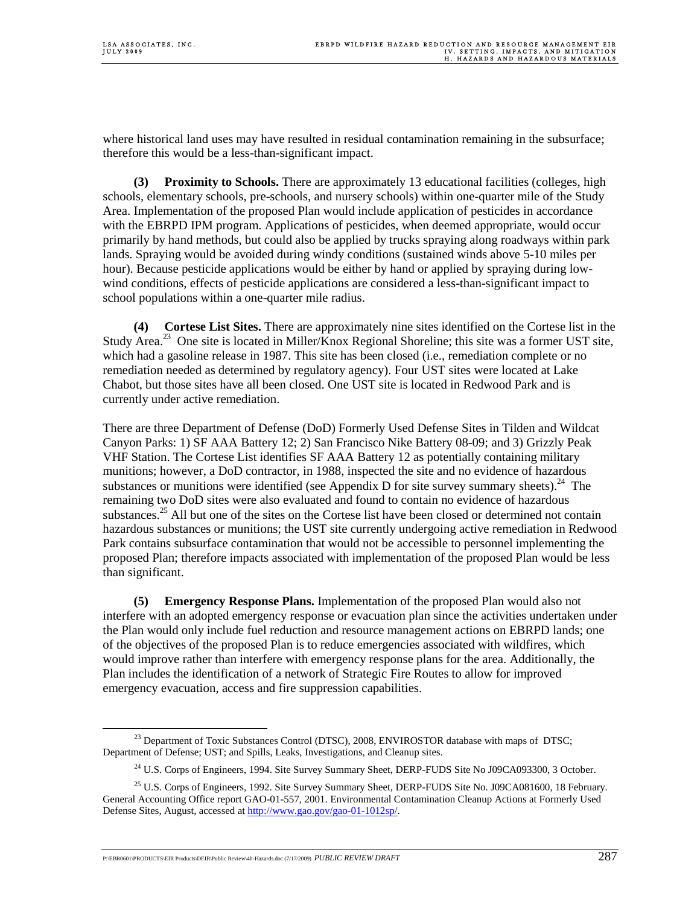where historical land uses may have resulted in residual contamination remaining in the subsurface; therefore this would be a less-than-significant impact.

**(3) Proximity to Schools.** There are approximately 13 educational facilities (colleges, high schools, elementary schools, pre-schools, and nursery schools) within one-quarter mile of the Study Area. Implementation of the proposed Plan would include application of pesticides in accordance with the EBRPD IPM program. Applications of pesticides, when deemed appropriate, would occur primarily by hand methods, but could also be applied by trucks spraying along roadways within park lands. Spraying would be avoided during windy conditions (sustained winds above 5-10 miles per hour). Because pesticide applications would be either by hand or applied by spraying during lowwind conditions, effects of pesticide applications are considered a less-than-significant impact to school populations within a one-quarter mile radius.

**(4) Cortese List Sites.** There are approximately nine sites identified on the Cortese list in the Study Area.<sup>23</sup> One site is located in Miller/Knox Regional Shoreline; this site was a former UST site, which had a gasoline release in 1987. This site has been closed (i.e., remediation complete or no remediation needed as determined by regulatory agency). Four UST sites were located at Lake Chabot, but those sites have all been closed. One UST site is located in Redwood Park and is currently under active remediation.

There are three Department of Defense (DoD) Formerly Used Defense Sites in Tilden and Wildcat Canyon Parks: 1) SF AAA Battery 12; 2) San Francisco Nike Battery 08-09; and 3) Grizzly Peak VHF Station. The Cortese List identifies SF AAA Battery 12 as potentially containing military munitions; however, a DoD contractor, in 1988, inspected the site and no evidence of hazardous substances or munitions were identified (see Appendix D for site survey summary sheets).<sup>24</sup> The remaining two DoD sites were also evaluated and found to contain no evidence of hazardous substances.<sup>25</sup> All but one of the sites on the Cortese list have been closed or determined not contain hazardous substances or munitions; the UST site currently undergoing active remediation in Redwood Park contains subsurface contamination that would not be accessible to personnel implementing the proposed Plan; therefore impacts associated with implementation of the proposed Plan would be less than significant.

**(5) Emergency Response Plans.** Implementation of the proposed Plan would also not interfere with an adopted emergency response or evacuation plan since the activities undertaken under the Plan would only include fuel reduction and resource management actions on EBRPD lands; one of the objectives of the proposed Plan is to reduce emergencies associated with wildfires, which would improve rather than interfere with emergency response plans for the area. Additionally, the Plan includes the identification of a network of Strategic Fire Routes to allow for improved emergency evacuation, access and fire suppression capabilities.

P:\EBR0601\PRODUCTS\EIR Products\DEIR\Public Review\4h-Hazards.doc (7/17/2009) *PUBLIC REVIEW DRAFT* 287

 $^{23}$  Department of Toxic Substances Control (DTSC), 2008, ENVIROSTOR database with maps of DTSC; Department of Defense; UST; and Spills, Leaks, Investigations, and Cleanup sites.

<sup>&</sup>lt;sup>24</sup> U.S. Corps of Engineers, 1994. Site Survey Summary Sheet, DERP-FUDS Site No J09CA093300, 3 October.

<sup>&</sup>lt;sup>25</sup> U.S. Corps of Engineers, 1992. Site Survey Summary Sheet, DERP-FUDS Site No. J09CA081600, 18 February. General Accounting Office report GAO-01-557, 2001. Environmental Contamination Cleanup Actions at Formerly Used Defense Sites, August, accessed at http://www.gao.gov/gao-01-1012sp/.